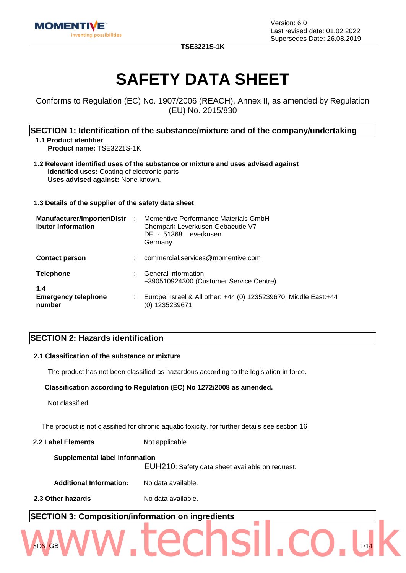

**TSE3221S-1K**

# **SAFETY DATA SHEET**

Conforms to Regulation (EC) No. 1907/2006 (REACH), Annex II, as amended by Regulation (EU) No. 2015/830

### **SECTION 1: Identification of the substance/mixture and of the company/undertaking**

**1.1 Product identifier Product name:** TSE3221S-1K

**1.2 Relevant identified uses of the substance or mixture and uses advised against Identified uses:** Coating of electronic parts **Uses advised against:** None known.

**1.3 Details of the supplier of the safety data sheet**

| <b>Manufacturer/Importer/Distr</b><br>ibutor Information | $\mathbb{R}^2$ | Momentive Performance Materials GmbH<br>Chempark Leverkusen Gebaeude V7<br>DE - 51368 Leverkusen<br>Germany |
|----------------------------------------------------------|----------------|-------------------------------------------------------------------------------------------------------------|
| <b>Contact person</b>                                    | ÷              | commercial.services@momentive.com                                                                           |
| <b>Telephone</b><br>1.4                                  |                | General information<br>+390510924300 (Customer Service Centre)                                              |
| <b>Emergency telephone</b><br>number                     |                | Europe, Israel & All other: +44 (0) 1235239670; Middle East: +44<br>(0) 1235239671                          |

### **SECTION 2: Hazards identification**

### **2.1 Classification of the substance or mixture**

The product has not been classified as hazardous according to the legislation in force.

### **Classification according to Regulation (EC) No 1272/2008 as amended.**

Not classified

The product is not classified for chronic aquatic toxicity, for further details see section 16

**2.2 Label Elements** Not applicable

| Supplemental label information<br>EUH210: Safety data sheet available on request. |                    |
|-----------------------------------------------------------------------------------|--------------------|
| <b>Additional Information:</b>                                                    | No data available. |
| 2.3 Other hazards                                                                 | No data available. |

 $SDS_GBB$   $\blacktriangleleft$   $\blacktriangleleft$   $\blacktriangleleft$   $\blacktriangleleft$   $\blacktriangleleft$   $\blacktriangleleft$   $\blacktriangleleft$   $\blacktriangleleft$   $\blacktriangleleft$   $\blacktriangleleft$   $\blacktriangleleft$   $\blacktriangleleft$   $\blacktriangleleft$   $\blacktriangleleft$   $\blacktriangleleft$   $\blacktriangleleft$   $\blacktriangleleft$   $\blacktriangleleft$   $\blacktriangleleft$   $\blacktriangleleft$   $\blacktriangleleft$   $\blacktriangleleft$   $\blacktriangleleft$   $\blacktriangleleft$   $\blacktriangleleft$   $\blacktriangleleft$   $\blacktriangleleft$   $\blacktriangleleft$   $\blacktriangleleft$   $\blacktriangleleft$   $\blacktriangle$ 

# **SECTION 3: Composition/information on ingredients** www.techsil.co.uk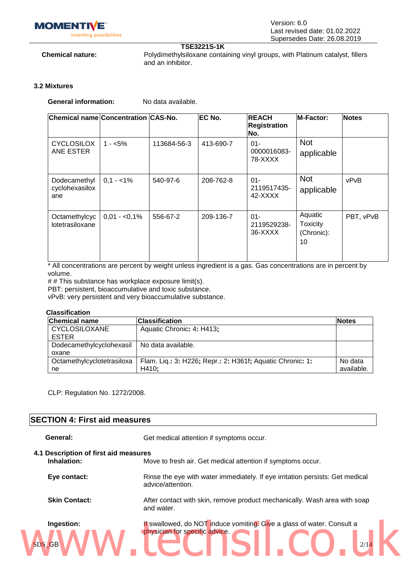

### **TSE3221S-1K**

**Chemical nature:** Polydimethylsiloxane containing vinyl groups, with Platinum catalyst, fillers and an inhibitor.

### **3.2 Mixtures**

**General information:** No data available.

| <b>Chemical name Concentration CAS-No.</b> |                |             | <b>EC No.</b> | <b>IREACH</b><br><b>Registration</b><br>No. | M-Factor:                                      | <b>Notes</b> |
|--------------------------------------------|----------------|-------------|---------------|---------------------------------------------|------------------------------------------------|--------------|
| <b>CYCLOSILOX</b><br>ANE ESTER             | $1 - 5\%$      | 113684-56-3 | 413-690-7     | $01 -$<br>0000016083-<br>78-XXXX            | <b>Not</b><br>applicable                       |              |
| Dodecamethyl<br>cyclohexasilox<br>ane      | $0,1 - 1\%$    | 540-97-6    | 208-762-8     | $01 -$<br>2119517435-<br>42-XXXX            | <b>Not</b><br>applicable                       | vPvB         |
| Octamethylcyc<br>lotetrasiloxane           | $0.01 - 0.1\%$ | 556-67-2    | 209-136-7     | $01 -$<br>2119529238-<br>36-XXXX            | Aquatic<br><b>Toxicity</b><br>(Chronic):<br>10 | PBT, vPvB    |

\* All concentrations are percent by weight unless ingredient is a gas. Gas concentrations are in percent by volume.

# # This substance has workplace exposure limit(s).

PBT: persistent, bioaccumulative and toxic substance.

vPvB: very persistent and very bioaccumulative substance.

### **Classification**

| <b>Chemical name</b>       | <b>Classification</b>                                     | <b>Notes</b> |
|----------------------------|-----------------------------------------------------------|--------------|
| <b>CYCLOSILOXANE</b>       | Aquatic Chronic: 4: H413;                                 |              |
| <b>ESTER</b>               |                                                           |              |
| Dodecamethylcyclohexasil   | No data available.                                        |              |
| oxane                      |                                                           |              |
| Octamethylcyclotetrasiloxa | Flam. Liq.: 3: H226; Repr.: 2: H361f; Aquatic Chronic: 1: | No data      |
| ne                         | H410:                                                     | available.   |

CLP: Regulation No. 1272/2008.

### **SECTION 4: First aid measures**

General: Get medical attention if symptoms occur.

### **4.1 Description of first aid measures**

| Inhalation:                 | Move to fresh air. Get medical attention if symptoms occur.                                                      |  |  |
|-----------------------------|------------------------------------------------------------------------------------------------------------------|--|--|
| Eye contact:                | Rinse the eye with water immediately. If eye irritation persists: Get medical<br>advice/attention.               |  |  |
| <b>Skin Contact:</b>        | After contact with skin, remove product mechanically. Wash area with soap<br>and water.                          |  |  |
| Ingestion:<br><b>SDS GB</b> | If swallowed, do NOT induce vomiting. Give a glass of water. Consult a<br>physician for specific advice.<br>2/14 |  |  |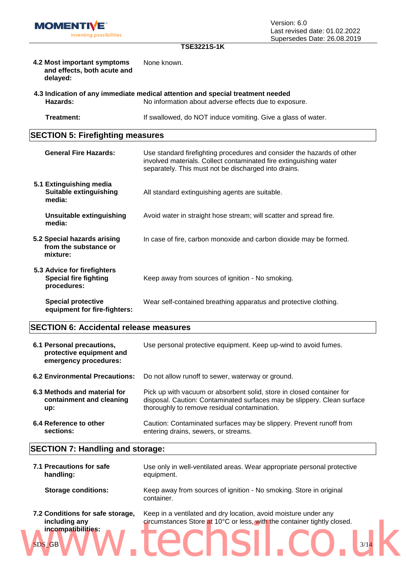### **TSE3221S-1K**

| 4.2 Most important symptoms<br>and effects, both acute and<br>delayed: | None known.                                                                                                                                                                                                                                  |
|------------------------------------------------------------------------|----------------------------------------------------------------------------------------------------------------------------------------------------------------------------------------------------------------------------------------------|
|                                                                        | $\mathcal{L}$ and $\mathcal{L}$ and $\mathcal{L}$ are the contract of the contract of the contract of the contract of the contract of the contract of the contract of the contract of the contract of the contract of the contract of the co |

**4.3 Indication of any immediate medical attention and special treatment needed Hazards:** No information about adverse effects due to exposure.

**Treatment:** If swallowed, do NOT induce vomiting. Give a glass of water.

### **SECTION 5: Firefighting measures**

| <b>General Fire Hazards:</b>                                               | Use standard firefighting procedures and consider the hazards of other<br>involved materials. Collect contaminated fire extinguishing water<br>separately. This must not be discharged into drains. |
|----------------------------------------------------------------------------|-----------------------------------------------------------------------------------------------------------------------------------------------------------------------------------------------------|
| 5.1 Extinguishing media<br><b>Suitable extinguishing</b><br>media:         | All standard extinguishing agents are suitable.                                                                                                                                                     |
| Unsuitable extinguishing<br>media:                                         | Avoid water in straight hose stream; will scatter and spread fire.                                                                                                                                  |
| 5.2 Special hazards arising<br>from the substance or<br>mixture:           | In case of fire, carbon monoxide and carbon dioxide may be formed.                                                                                                                                  |
| 5.3 Advice for firefighters<br><b>Special fire fighting</b><br>procedures: | Keep away from sources of ignition - No smoking.                                                                                                                                                    |
| <b>Special protective</b><br>equipment for fire-fighters:                  | Wear self-contained breathing apparatus and protective clothing.                                                                                                                                    |

### **SECTION 6: Accidental release measures**

| 6.1 Personal precautions,<br>protective equipment and<br>emergency procedures: | Use personal protective equipment. Keep up-wind to avoid fumes.         |
|--------------------------------------------------------------------------------|-------------------------------------------------------------------------|
| 6.2 Environmental Precautions:                                                 | Do not allow runoff to sewer, waterway or ground.                       |
| 6.3 Methods and material for                                                   | Pick up with vacuum or absorbent solid, store in closed container for   |
| containment and cleaning                                                       | disposal. Caution: Contaminated surfaces may be slippery. Clean surface |
| up:                                                                            | thoroughly to remove residual contamination.                            |
| 6.4 Reference to other                                                         | Caution: Contaminated surfaces may be slippery. Prevent runoff from     |
| sections:                                                                      | entering drains, sewers, or streams.                                    |

### **SECTION 7: Handling and storage:**

| 7.1 Precautions for safe<br>handling:                                                    | Use only in well-ventilated areas. Wear appropriate personal protective<br>equipment.                                                              |  |  |
|------------------------------------------------------------------------------------------|----------------------------------------------------------------------------------------------------------------------------------------------------|--|--|
| <b>Storage conditions:</b>                                                               | Keep away from sources of ignition - No smoking. Store in original<br>container.                                                                   |  |  |
| 7.2 Conditions for safe storage,<br>including any<br>incompatibilities:<br><b>SDS GB</b> | Keep in a ventilated and dry location, avoid moisture under any<br>circumstances Store at 10°C or less, with the container tightly closed.<br>3/14 |  |  |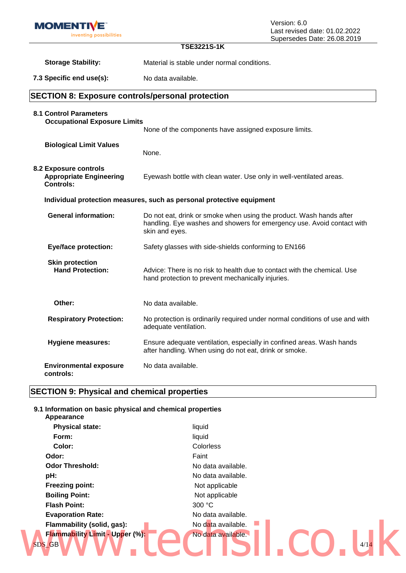| <b>MOMENTIVE</b>                                                            |                                                                                                                                                                 | Version: 6.0                                                 |  |
|-----------------------------------------------------------------------------|-----------------------------------------------------------------------------------------------------------------------------------------------------------------|--------------------------------------------------------------|--|
| inventing possibilities                                                     |                                                                                                                                                                 | Last revised date: 01.02.2022<br>Supersedes Date: 26.08.2019 |  |
|                                                                             | <b>TSE3221S-1K</b>                                                                                                                                              |                                                              |  |
| <b>Storage Stability:</b>                                                   | Material is stable under normal conditions.                                                                                                                     |                                                              |  |
| 7.3 Specific end use(s):                                                    | No data available.                                                                                                                                              |                                                              |  |
| <b>SECTION 8: Exposure controls/personal protection</b>                     |                                                                                                                                                                 |                                                              |  |
| <b>8.1 Control Parameters</b><br><b>Occupational Exposure Limits</b>        | None of the components have assigned exposure limits.                                                                                                           |                                                              |  |
| <b>Biological Limit Values</b>                                              | None.                                                                                                                                                           |                                                              |  |
| 8.2 Exposure controls<br><b>Appropriate Engineering</b><br><b>Controls:</b> | Eyewash bottle with clean water. Use only in well-ventilated areas.                                                                                             |                                                              |  |
| Individual protection measures, such as personal protective equipment       |                                                                                                                                                                 |                                                              |  |
| <b>General information:</b>                                                 | Do not eat, drink or smoke when using the product. Wash hands after<br>handling. Eye washes and showers for emergency use. Avoid contact with<br>skin and eyes. |                                                              |  |
| <b>Eye/face protection:</b>                                                 | Safety glasses with side-shields conforming to EN166                                                                                                            |                                                              |  |
| <b>Skin protection</b><br><b>Hand Protection:</b>                           | Advice: There is no risk to health due to contact with the chemical. Use<br>hand protection to prevent mechanically injuries.                                   |                                                              |  |
| Other:                                                                      | No data available.                                                                                                                                              |                                                              |  |
| <b>Respiratory Protection:</b>                                              | No protection is ordinarily required under normal conditions of use and with<br>adequate ventilation.                                                           |                                                              |  |
| <b>Hygiene measures:</b>                                                    | Ensure adequate ventilation, especially in confined areas. Wash hands<br>after handling. When using do not eat, drink or smoke.                                 |                                                              |  |
| <b>Environmental exposure</b><br>controls:                                  | No data available.                                                                                                                                              |                                                              |  |

# **SECTION 9: Physical and chemical properties**

## **9.1 Information on basic physical and chemical properties**

| Appearance                                |                    |      |
|-------------------------------------------|--------------------|------|
| <b>Physical state:</b>                    | liquid             |      |
| Form:                                     | liquid             |      |
| Color:                                    | Colorless          |      |
| Odor:                                     | Faint              |      |
| <b>Odor Threshold:</b>                    | No data available. |      |
| pH:                                       | No data available. |      |
| <b>Freezing point:</b>                    | Not applicable     |      |
| <b>Boiling Point:</b>                     | Not applicable     |      |
| <b>Flash Point:</b>                       | 300 °C             |      |
| <b>Evaporation Rate:</b>                  | No data available. |      |
| Flammability (solid, gas):                | No data available. |      |
| Flammability Limit - Upper (%):<br>SDS_GB | No data available. | 4/14 |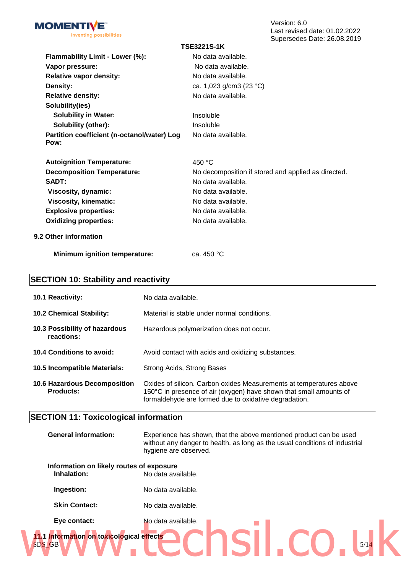

| <b>TSE3221S-1K</b>                                  |                                                     |  |
|-----------------------------------------------------|-----------------------------------------------------|--|
| Flammability Limit - Lower (%):                     | No data available.                                  |  |
| Vapor pressure:                                     | No data available.                                  |  |
| <b>Relative vapor density:</b>                      | No data available.                                  |  |
| Density:                                            | ca. 1,023 g/cm3 (23 °C)                             |  |
| <b>Relative density:</b>                            | No data available.                                  |  |
| Solubility(ies)                                     |                                                     |  |
| <b>Solubility in Water:</b>                         | Insoluble                                           |  |
| Solubility (other):                                 | Insoluble                                           |  |
| Partition coefficient (n-octanol/water) Log<br>Pow: | No data available.                                  |  |
| <b>Autoignition Temperature:</b>                    | 450 $^{\circ}$ C                                    |  |
| <b>Decomposition Temperature:</b>                   | No decomposition if stored and applied as directed. |  |
| SADT:                                               | No data available.                                  |  |
| Viscosity, dynamic:                                 | No data available.                                  |  |
| <b>Viscosity, kinematic:</b>                        | No data available.                                  |  |
| <b>Explosive properties:</b>                        | No data available.                                  |  |
| <b>Oxidizing properties:</b>                        | No data available.                                  |  |
| 9.2 Other information                               |                                                     |  |

**Minimum ignition temperature:** ca. 450 °C

## **SECTION 10: Stability and reactivity**

| <b>10.1 Reactivity:</b>                                 | No data available.                                                                                                                                                                                 |
|---------------------------------------------------------|----------------------------------------------------------------------------------------------------------------------------------------------------------------------------------------------------|
| <b>10.2 Chemical Stability:</b>                         | Material is stable under normal conditions.                                                                                                                                                        |
| 10.3 Possibility of hazardous<br>reactions:             | Hazardous polymerization does not occur.                                                                                                                                                           |
| 10.4 Conditions to avoid:                               | Avoid contact with acids and oxidizing substances.                                                                                                                                                 |
| 10.5 Incompatible Materials:                            | Strong Acids, Strong Bases                                                                                                                                                                         |
| <b>10.6 Hazardous Decomposition</b><br><b>Products:</b> | Oxides of silicon. Carbon oxides Measurements at temperatures above<br>150°C in presence of air (oxygen) have shown that small amounts of<br>formaldehyde are formed due to oxidative degradation. |

## **SECTION 11: Toxicological information**

| <b>General information:</b>                             | Experience has shown, that the above mentioned product can be used<br>without any danger to health, as long as the usual conditions of industrial<br>hygiene are observed. |  |
|---------------------------------------------------------|----------------------------------------------------------------------------------------------------------------------------------------------------------------------------|--|
| Information on likely routes of exposure<br>Inhalation: | No data available.                                                                                                                                                         |  |
| Ingestion:                                              | No data available.                                                                                                                                                         |  |
| <b>Skin Contact:</b>                                    | No data available.                                                                                                                                                         |  |
| Eye contact:                                            | No data available.                                                                                                                                                         |  |
| 11.1 Information on toxicological effects<br>SDS_GB     | 5/14                                                                                                                                                                       |  |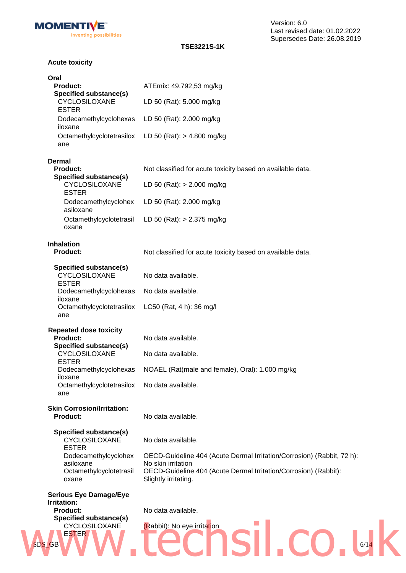

Version: 6.0 Last revised date: 01.02.2022 Supersedes Date: 26.08.2019

### **TSE3221S-1K**

### **Acute toxicity**

| Oral<br><b>Product:</b>                                        | ATEmix: 49.792,53 mg/kg                                                                      |
|----------------------------------------------------------------|----------------------------------------------------------------------------------------------|
| Specified substance(s)<br>CYCLOSILOXANE                        | LD 50 (Rat): 5.000 mg/kg                                                                     |
| <b>ESTER</b><br>Dodecamethylcyclohexas                         | LD 50 (Rat): 2.000 mg/kg                                                                     |
| iloxane<br>Octamethylcyclotetrasilox                           | LD 50 (Rat): > 4.800 mg/kg                                                                   |
| ane                                                            |                                                                                              |
| <b>Dermal</b><br><b>Product:</b>                               | Not classified for acute toxicity based on available data.                                   |
| <b>Specified substance(s)</b><br>CYCLOSILOXANE<br><b>ESTER</b> | LD 50 (Rat): $> 2.000$ mg/kg                                                                 |
| Dodecamethylcyclohex<br>asiloxane                              | LD 50 (Rat): 2.000 mg/kg                                                                     |
| Octamethylcyclotetrasil<br>oxane                               | LD 50 (Rat): $> 2.375$ mg/kg                                                                 |
| <b>Inhalation</b><br><b>Product:</b>                           | Not classified for acute toxicity based on available data.                                   |
| Specified substance(s)<br>CYCLOSILOXANE                        | No data available.                                                                           |
| <b>ESTER</b><br>Dodecamethylcyclohexas<br>iloxane              | No data available.                                                                           |
| Octamethylcyclotetrasilox<br>ane                               | LC50 (Rat, 4 h): 36 mg/l                                                                     |
| <b>Repeated dose toxicity</b><br><b>Product:</b>               | No data available.                                                                           |
| <b>Specified substance(s)</b><br>CYCLOSILOXANE<br><b>ESTER</b> | No data available.                                                                           |
| Dodecamethylcyclohexas<br>iloxane                              | NOAEL (Rat(male and female), Oral): 1.000 mg/kg                                              |
| Octamethylcyclotetrasilox<br>ane                               | No data available.                                                                           |
| <b>Skin Corrosion/Irritation:</b><br><b>Product:</b>           | No data available.                                                                           |
| Specified substance(s)<br>CYCLOSILOXANE                        | No data available.                                                                           |
| <b>ESTER</b><br>Dodecamethylcyclohex<br>asiloxane              | OECD-Guideline 404 (Acute Dermal Irritation/Corrosion) (Rabbit, 72 h):<br>No skin irritation |
| Octamethylcyclotetrasil<br>oxane                               | OECD-Guideline 404 (Acute Dermal Irritation/Corrosion) (Rabbit):<br>Slightly irritating.     |
| <b>Serious Eye Damage/Eye</b><br>Irritation:                   |                                                                                              |
| <b>Product:</b><br>Specified substance(s)                      | No data available.                                                                           |
| CYCLOSILOXANE<br><b>ESTER</b><br>SDS_GB                        | (Rabbit): No eye irritation<br>6/14                                                          |
|                                                                |                                                                                              |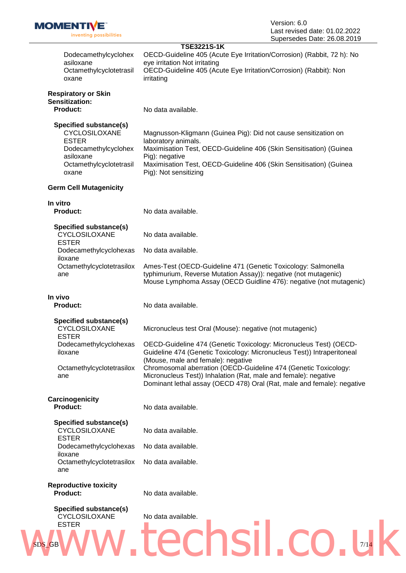|                                                                       | Supersedes Date: 20.00.2019                                                                                                                                                                                      |
|-----------------------------------------------------------------------|------------------------------------------------------------------------------------------------------------------------------------------------------------------------------------------------------------------|
| Dodecamethylcyclohex<br>asiloxane<br>Octamethylcyclotetrasil<br>oxane | <b>TSE3221S-1K</b><br>OECD-Guideline 405 (Acute Eye Irritation/Corrosion) (Rabbit, 72 h): No<br>eye irritation Not irritating<br>OECD-Guideline 405 (Acute Eye Irritation/Corrosion) (Rabbit): Non<br>irritating |
| <b>Respiratory or Skin</b>                                            |                                                                                                                                                                                                                  |
| Sensitization:                                                        |                                                                                                                                                                                                                  |
| <b>Product:</b>                                                       | No data available.                                                                                                                                                                                               |
| Specified substance(s)                                                |                                                                                                                                                                                                                  |
| CYCLOSILOXANE                                                         | Magnusson-Kligmann (Guinea Pig): Did not cause sensitization on                                                                                                                                                  |
| <b>ESTER</b>                                                          | laboratory animals.                                                                                                                                                                                              |
| Dodecamethylcyclohex                                                  | Maximisation Test, OECD-Guideline 406 (Skin Sensitisation) (Guinea                                                                                                                                               |
| asiloxane                                                             | Pig): negative                                                                                                                                                                                                   |
| Octamethylcyclotetrasil                                               | Maximisation Test, OECD-Guideline 406 (Skin Sensitisation) (Guinea                                                                                                                                               |
| oxane                                                                 | Pig): Not sensitizing                                                                                                                                                                                            |
| <b>Germ Cell Mutagenicity</b>                                         |                                                                                                                                                                                                                  |
| In vitro                                                              |                                                                                                                                                                                                                  |
| <b>Product:</b>                                                       | No data available.                                                                                                                                                                                               |
| Specified substance(s)                                                |                                                                                                                                                                                                                  |
| CYCLOSILOXANE                                                         | No data available.                                                                                                                                                                                               |
| <b>ESTER</b>                                                          |                                                                                                                                                                                                                  |
| Dodecamethylcyclohexas<br>iloxane                                     | No data available.                                                                                                                                                                                               |
| Octamethylcyclotetrasilox                                             | Ames-Test (OECD-Guideline 471 (Genetic Toxicology: Salmonella                                                                                                                                                    |
| ane                                                                   | typhimurium, Reverse Mutation Assay)): negative (not mutagenic)<br>Mouse Lymphoma Assay (OECD Guidline 476): negative (not mutagenic)                                                                            |
| In vivo                                                               |                                                                                                                                                                                                                  |
| <b>Product:</b>                                                       | No data available.                                                                                                                                                                                               |
|                                                                       |                                                                                                                                                                                                                  |
| Specified substance(s)<br><b>CYCLOSILOXANE</b>                        | Micronucleus test Oral (Mouse): negative (not mutagenic)                                                                                                                                                         |
| <b>ESTER</b>                                                          | Dodecamethylcyclohexas OECD-Guideline 474 (Genetic Toxicology: Micronucleus Test) (OECD-                                                                                                                         |
| iloxane                                                               | Guideline 474 (Genetic Toxicology: Micronucleus Test)) Intraperitoneal                                                                                                                                           |
|                                                                       | (Mouse, male and female): negative                                                                                                                                                                               |
| Octamethylcyclotetrasilox<br>ane                                      | Chromosomal aberration (OECD-Guideline 474 (Genetic Toxicology:<br>Micronucleus Test)) Inhalation (Rat, male and female): negative                                                                               |
|                                                                       | Dominant lethal assay (OECD 478) Oral (Rat, male and female): negative                                                                                                                                           |
|                                                                       |                                                                                                                                                                                                                  |
| Carcinogenicity<br><b>Product:</b>                                    | No data available.                                                                                                                                                                                               |
|                                                                       |                                                                                                                                                                                                                  |
| Specified substance(s)                                                |                                                                                                                                                                                                                  |
| CYCLOSILOXANE<br><b>ESTER</b>                                         | No data available.                                                                                                                                                                                               |
| Dodecamethylcyclohexas                                                | No data available.                                                                                                                                                                                               |
| iloxane                                                               |                                                                                                                                                                                                                  |
| Octamethylcyclotetrasilox<br>ane                                      | No data available.                                                                                                                                                                                               |
|                                                                       |                                                                                                                                                                                                                  |
| <b>Reproductive toxicity</b><br><b>Product:</b>                       | No data available.                                                                                                                                                                                               |
|                                                                       |                                                                                                                                                                                                                  |
| Specified substance(s)                                                |                                                                                                                                                                                                                  |
| CYCLOSILOXANE<br><b>ESTER</b>                                         | No data available.                                                                                                                                                                                               |
|                                                                       |                                                                                                                                                                                                                  |
|                                                                       |                                                                                                                                                                                                                  |
| SDS_GB                                                                | 7/14                                                                                                                                                                                                             |
|                                                                       |                                                                                                                                                                                                                  |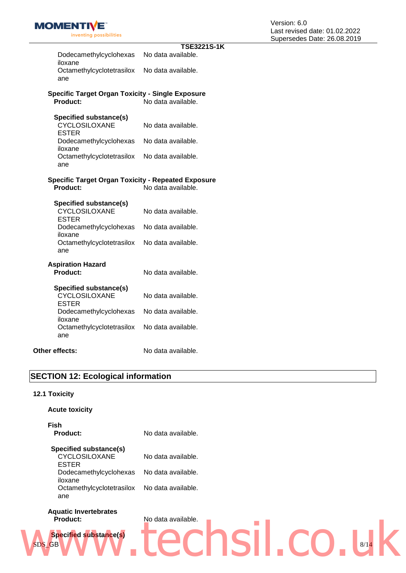|                                                           | <b>TSE3221S-1K</b> |
|-----------------------------------------------------------|--------------------|
| Dodecamethylcyclohexas<br>iloxane                         | No data available. |
| Octamethylcyclotetrasilox<br>ane                          | No data available. |
| <b>Specific Target Organ Toxicity - Single Exposure</b>   |                    |
| <b>Product:</b>                                           | No data available. |
| <b>Specified substance(s)</b>                             |                    |
| CYCLOSILOXANE<br><b>ESTER</b>                             | No data available. |
| Dodecamethylcyclohexas<br>iloxane                         | No data available. |
| Octamethylcyclotetrasilox<br>ane                          | No data available. |
| <b>Specific Target Organ Toxicity - Repeated Exposure</b> |                    |
| Product:                                                  | No data available. |
| <b>Specified substance(s)</b>                             |                    |
| CYCLOSILOXANE<br><b>ESTER</b>                             | No data available. |
| Dodecamethylcyclohexas<br>iloxane                         | No data available. |
| Octamethylcyclotetrasilox<br>ane                          | No data available. |
|                                                           |                    |
| <b>Aspiration Hazard</b><br><b>Product:</b>               | No data available. |
| Specified substance(s)                                    |                    |
| CYCLOSILOXANE<br><b>ESTER</b>                             | No data available. |
| Dodecamethylcyclohexas<br>iloxane                         | No data available. |
| Octamethylcyclotetrasilox<br>ane                          | No data available. |
|                                                           |                    |
| Other effects:                                            | No data available. |

### **SECTION 12: Ecological information**

### **12.1 Toxicity**

### **Acute toxicity**

| <b>Fish</b><br>Product:   | No data available. |
|---------------------------|--------------------|
| Specified substance(s)    |                    |
| <b>CYCLOSILOXANE</b>      | No data available. |
| ESTER                     |                    |
| Dodecamethylcyclohexas    | No data available. |
| iloxane                   |                    |
| Octamethylcyclotetrasilox | No data available. |
| ane                       |                    |

# **Aquatic Invertebrates**



# SDS\_GB 8/14 **Product:** No data available. **Specified substance(s)** www.technologie.co.uk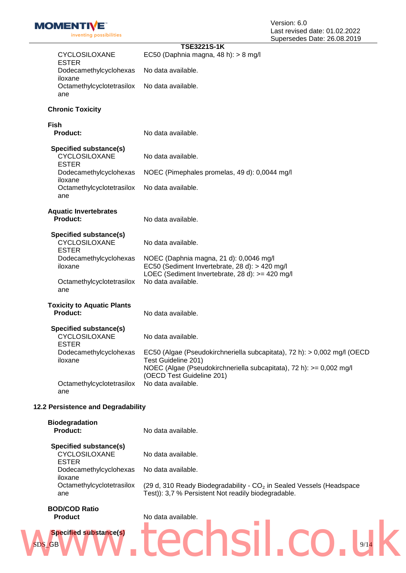Version: 6.0 Last revised date: 01.02.2022 Supersedes Date: 26.08.2019

| CYCLOSILOXANE<br><b>ESTER</b>                           | <b>TSE3221S-1K</b><br>EC50 (Daphnia magna, 48 h): > 8 mg/l                                                                                                             |  |
|---------------------------------------------------------|------------------------------------------------------------------------------------------------------------------------------------------------------------------------|--|
| Dodecamethylcyclohexas<br>iloxane                       | No data available.                                                                                                                                                     |  |
| Octamethylcyclotetrasilox<br>ane                        | No data available.                                                                                                                                                     |  |
| <b>Chronic Toxicity</b>                                 |                                                                                                                                                                        |  |
|                                                         |                                                                                                                                                                        |  |
| Fish<br><b>Product:</b>                                 | No data available.                                                                                                                                                     |  |
| Specified substance(s)<br>CYCLOSILOXANE<br><b>ESTER</b> | No data available.                                                                                                                                                     |  |
| Dodecamethylcyclohexas<br>iloxane                       | NOEC (Pimephales promelas, 49 d): 0,0044 mg/l                                                                                                                          |  |
| Octamethylcyclotetrasilox<br>ane                        | No data available.                                                                                                                                                     |  |
|                                                         |                                                                                                                                                                        |  |
| <b>Aquatic Invertebrates</b><br><b>Product:</b>         | No data available.                                                                                                                                                     |  |
| Specified substance(s)<br>CYCLOSILOXANE<br><b>ESTER</b> | No data available.                                                                                                                                                     |  |
| Dodecamethylcyclohexas<br>iloxane                       | NOEC (Daphnia magna, 21 d): 0,0046 mg/l<br>EC50 (Sediment Invertebrate, 28 d): > 420 mg/l<br>LOEC (Sediment Invertebrate, 28 d): >= 420 mg/l                           |  |
| Octamethylcyclotetrasilox<br>ane                        | No data available.                                                                                                                                                     |  |
| <b>Toxicity to Aquatic Plants</b><br>Product:           | No data available.                                                                                                                                                     |  |
| Specified substance(s)<br>CYCLOSILOXANE<br><b>ESTER</b> | No data available.                                                                                                                                                     |  |
| Dodecamethylcyclohexas<br>iloxane                       | EC50 (Algae (Pseudokirchneriella subcapitata), 72 h): > 0,002 mg/l (OECD<br>Test Guideline 201)<br>NOEC (Algae (Pseudokirchneriella subcapitata), 72 h): >= 0,002 mg/l |  |
| Octamethylcyclotetrasilox<br>ane                        | (OECD Test Guideline 201)<br>No data available.                                                                                                                        |  |
| 12.2 Persistence and Degradability                      |                                                                                                                                                                        |  |
|                                                         |                                                                                                                                                                        |  |
| <b>Biodegradation</b><br>Product:                       | No data available.                                                                                                                                                     |  |
| Specified substance(s)<br>CYCLOSILOXANE<br><b>ESTER</b> | No data available.                                                                                                                                                     |  |
| Dodecamethylcyclohexas<br>iloxane                       | No data available.                                                                                                                                                     |  |
| Octamethylcyclotetrasilox<br>ane                        | (29 d, 310 Ready Biodegradability - $CO2$ in Sealed Vessels (Headspace<br>Test): 3,7 % Persistent Not readily biodegradable.                                           |  |
| <b>BOD/COD Ratio</b><br><b>Product</b>                  | No data available.                                                                                                                                                     |  |

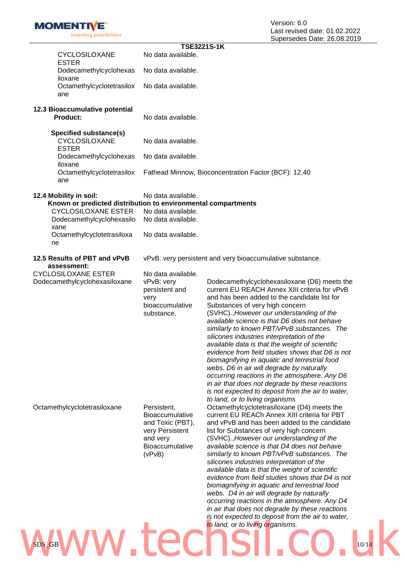| inventing possibilities                                                                                                                                                                  |                                                                                                                | Last levised date. UT.UZ.ZU.<br>Supersedes Date: 26.08.20                                                                                                                                                                                                                                                                                                                                                                                                                                                                                                                                                                                                                                                                                                                   |
|------------------------------------------------------------------------------------------------------------------------------------------------------------------------------------------|----------------------------------------------------------------------------------------------------------------|-----------------------------------------------------------------------------------------------------------------------------------------------------------------------------------------------------------------------------------------------------------------------------------------------------------------------------------------------------------------------------------------------------------------------------------------------------------------------------------------------------------------------------------------------------------------------------------------------------------------------------------------------------------------------------------------------------------------------------------------------------------------------------|
|                                                                                                                                                                                          | <b>TSE3221S-1K</b>                                                                                             |                                                                                                                                                                                                                                                                                                                                                                                                                                                                                                                                                                                                                                                                                                                                                                             |
| CYCLOSILOXANE<br><b>ESTER</b>                                                                                                                                                            | No data available.                                                                                             |                                                                                                                                                                                                                                                                                                                                                                                                                                                                                                                                                                                                                                                                                                                                                                             |
| Dodecamethylcyclohexas<br>iloxane                                                                                                                                                        | No data available.                                                                                             |                                                                                                                                                                                                                                                                                                                                                                                                                                                                                                                                                                                                                                                                                                                                                                             |
| Octamethylcyclotetrasilox<br>ane                                                                                                                                                         | No data available.                                                                                             |                                                                                                                                                                                                                                                                                                                                                                                                                                                                                                                                                                                                                                                                                                                                                                             |
| 12.3 Bioaccumulative potential<br><b>Product:</b>                                                                                                                                        | No data available.                                                                                             |                                                                                                                                                                                                                                                                                                                                                                                                                                                                                                                                                                                                                                                                                                                                                                             |
| Specified substance(s)<br><b>CYCLOSILOXANE</b><br><b>ESTER</b>                                                                                                                           | No data available.                                                                                             |                                                                                                                                                                                                                                                                                                                                                                                                                                                                                                                                                                                                                                                                                                                                                                             |
| Dodecamethylcyclohexas<br>iloxane                                                                                                                                                        | No data available.                                                                                             |                                                                                                                                                                                                                                                                                                                                                                                                                                                                                                                                                                                                                                                                                                                                                                             |
| Octamethylcyclotetrasilox<br>ane                                                                                                                                                         |                                                                                                                | Fathead Minnow, Bioconcentration Factor (BCF): 12,40                                                                                                                                                                                                                                                                                                                                                                                                                                                                                                                                                                                                                                                                                                                        |
| 12.4 Mobility in soil:<br>Known or predicted distribution to environmental compartments<br><b>CYCLOSILOXANE ESTER</b><br>Dodecamethylcyclohexasilo<br>xane<br>Octamethylcyclotetrasiloxa | No data available.<br>No data available.<br>No data available.<br>No data available.                           |                                                                                                                                                                                                                                                                                                                                                                                                                                                                                                                                                                                                                                                                                                                                                                             |
| ne                                                                                                                                                                                       |                                                                                                                |                                                                                                                                                                                                                                                                                                                                                                                                                                                                                                                                                                                                                                                                                                                                                                             |
| 12.5 Results of PBT and vPvB<br>assessment:                                                                                                                                              |                                                                                                                | vPvB: very persistent and very bioaccumulative substance.                                                                                                                                                                                                                                                                                                                                                                                                                                                                                                                                                                                                                                                                                                                   |
| <b>CYCLOSILOXANE ESTER</b><br>Dodecamethylcyclohexasiloxane                                                                                                                              | No data available.<br>vPvB: very<br>persistent and<br>very<br>bioaccumulative<br>substance.                    | Dodecamethylcyclohexasiloxane (D6) meets the<br>current EU REACH Annex XIII criteria for vPvB<br>and has been added to the candidate list for<br>Substances of very high concern<br>(SVHC)., However our understanding of the<br>available science is that D6 does not behave<br>similarly to known PBT/vPvB substances. The<br>silicones industries interpretation of the<br>available data is that the weight of scientific<br>evidence from field studies shows that D6 is not<br>biomagnifying in aquatic and terrestrial food<br>webs. D6 in air will degrade by naturally<br>occurring reactions in the atmosphere. Any D6<br>in air that does not degrade by these reactions<br>is not expected to deposit from the air to water,<br>to land, or to living organisms |
| Octamethylcyclotetrasiloxane                                                                                                                                                             | Persistent,<br>Bioaccumulative<br>and Toxic (PBT),<br>very Persistent<br>and very<br>Bioaccumulative<br>(vPvB) | Octamethylcyclotetrasiloxane (D4) meets the<br>current EU REACh Annex XIII criteria for PBT<br>and vPvB and has been added to the candidate<br>list for Substances of very high concern<br>(SVHC)., However our understanding of the<br>available science is that D4 does not behave<br>similarly to known PBT/vPvB substances. The<br>silicones industries interpretation of the<br>available data is that the weight of scientific<br>evidence from field studies shows that D4 is not<br>biomagnifying in aquatic and terrestrial food<br>webs. D4 in air will degrade by naturally<br>occurring reactions in the atmosphere. Any D4<br>in air that does not degrade by these reactions                                                                                  |

**MOMENTIVE** 

# $SDS_C$ GB 10/14 10/14 *is not expected to deposit from the air to water,*  **V**<sup>to land, or to living organisms.</sup>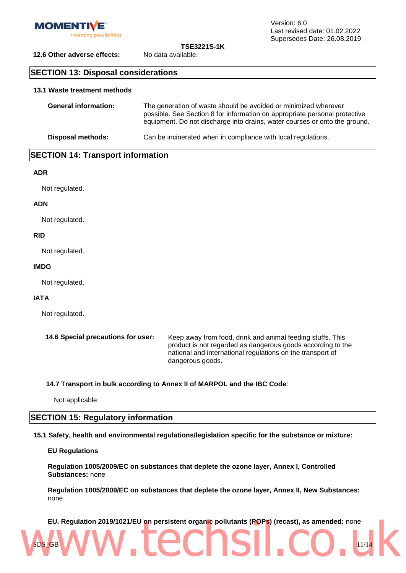

Version: 6.0 Last revised date: 01.02.2022 Supersedes Date: 26.08.2019

**TSE3221S-1K**

**12.6 Other adverse effects:** No data available.

### **SECTION 13: Disposal considerations**

### **13.1 Waste treatment methods**

| <b>General information:</b> | The generation of waste should be avoided or minimized wherever<br>possible. See Section 8 for information on appropriate personal protective<br>equipment. Do not discharge into drains, water courses or onto the ground. |
|-----------------------------|-----------------------------------------------------------------------------------------------------------------------------------------------------------------------------------------------------------------------------|
| Disposal methods:           | Can be incinerated when in compliance with local regulations.                                                                                                                                                               |

### **SECTION 14: Transport information**

### **ADR**

Not regulated.

### **ADN**

Not regulated.

### **RID**

Not regulated.

### **IMDG**

Not regulated.

### **IATA**

Not regulated.

| 14.6 Special precautions for user: | Keep away from food, drink and animal feeding stuffs. This  |
|------------------------------------|-------------------------------------------------------------|
|                                    | product is not regarded as dangerous goods according to the |
|                                    | national and international regulations on the transport of  |
|                                    | dangerous goods.                                            |

**14.7 Transport in bulk according to Annex II of MARPOL and the IBC Code**:

Not applicable

### **SECTION 15: Regulatory information**

**15.1 Safety, health and environmental regulations/legislation specific for the substance or mixture:**

#### **EU Regulations**

**Regulation 1005/2009/EC on substances that deplete the ozone layer, Annex I, Controlled Substances:** none

**Regulation 1005/2009/EC on substances that deplete the ozone layer, Annex II, New Substances:**  none

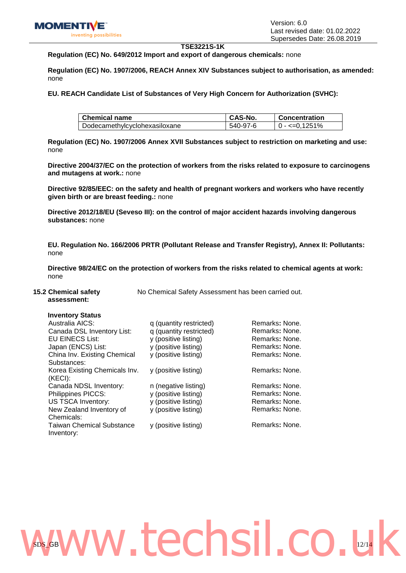#### **TSE3221S-1K**

### **Regulation (EC) No. 649/2012 Import and export of dangerous chemicals:** none

**Regulation (EC) No. 1907/2006, REACH Annex XIV Substances subject to authorisation, as amended:**  none

**EU. REACH Candidate List of Substances of Very High Concern for Authorization (SVHC):** 

| <b>Chemical name</b>          | CAS-No.  | <b>Concentration</b> |
|-------------------------------|----------|----------------------|
| Dodecamethylcyclohexasiloxane | 540-97-6 | $0 - 5 = 0.1251\%$   |

**Regulation (EC) No. 1907/2006 Annex XVII Substances subject to restriction on marketing and use:**  none

**Directive 2004/37/EC on the protection of workers from the risks related to exposure to carcinogens and mutagens at work.:** none

**Directive 92/85/EEC: on the safety and health of pregnant workers and workers who have recently given birth or are breast feeding.:** none

**Directive 2012/18/EU (Seveso III): on the control of major accident hazards involving dangerous substances:** none

**EU. Regulation No. 166/2006 PRTR (Pollutant Release and Transfer Registry), Annex II: Pollutants:**  none

**Directive 98/24/EC on the protection of workers from the risks related to chemical agents at work:**  none

#### **15.2 Chemical safety assessment:**

No Chemical Safety Assessment has been carried out.

### **Inventory Status**

| Australia AICS:                  | q (quantity restricted) | Remarks: None. |
|----------------------------------|-------------------------|----------------|
| Canada DSL Inventory List:       | q (quantity restricted) | Remarks: None. |
| <b>EU EINECS List:</b>           | y (positive listing)    | Remarks: None. |
| Japan (ENCS) List:               | y (positive listing)    | Remarks: None. |
| China Inv. Existing Chemical     | y (positive listing)    | Remarks: None. |
| Substances:                      |                         |                |
| Korea Existing Chemicals Inv.    | y (positive listing)    | Remarks: None. |
| (KECI):                          |                         |                |
| Canada NDSL Inventory:           | n (negative listing)    | Remarks: None. |
| Philippines PICCS:               | y (positive listing)    | Remarks: None. |
| <b>US TSCA Inventory:</b>        | y (positive listing)    | Remarks: None. |
| New Zealand Inventory of         | y (positive listing)    | Remarks: None. |
| Chemicals:                       |                         |                |
| <b>Taiwan Chemical Substance</b> | y (positive listing)    | Remarks: None. |
| Inventory:                       |                         |                |
|                                  |                         |                |

# $SDS_G$ GB 12/14 www.techsil.co.uk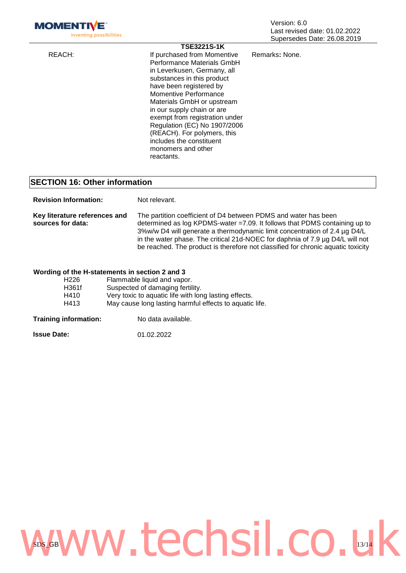| <b>MOMENTI</b><br>inventing possibilities                                                   |  |                                                                                                                                                                                                                                                                                                                                                                                                                                      | Version: 6.0<br>Last revised date: 01.02.2022<br>Supersedes Date: 26.08.2019 |  |
|---------------------------------------------------------------------------------------------|--|--------------------------------------------------------------------------------------------------------------------------------------------------------------------------------------------------------------------------------------------------------------------------------------------------------------------------------------------------------------------------------------------------------------------------------------|------------------------------------------------------------------------------|--|
| REACH:                                                                                      |  | <b>TSE3221S-1K</b><br>If purchased from Momentive<br>Performance Materials GmbH<br>in Leverkusen, Germany, all<br>substances in this product<br>have been registered by<br><b>Momentive Performance</b><br>Materials GmbH or upstream<br>in our supply chain or are<br>exempt from registration under<br>Regulation (EC) No 1907/2006<br>(REACH). For polymers, this<br>includes the constituent<br>monomers and other<br>reactants. | Remarks: None.                                                               |  |
| <b>SECTION 16: Other information</b>                                                        |  |                                                                                                                                                                                                                                                                                                                                                                                                                                      |                                                                              |  |
| <b>Revision Information:</b>                                                                |  | Not relevant.                                                                                                                                                                                                                                                                                                                                                                                                                        |                                                                              |  |
| Key literature references and<br>sources for data:                                          |  | The partition coefficient of D4 between PDMS and water has been<br>determined as log KPDMS-water = 7.09. It follows that PDMS containing up to<br>3%w/w D4 will generate a thermodynamic limit concentration of 2.4 µg D4/L<br>in the water phase. The critical 21d-NOEC for daphnia of 7.9 µg D4/L will not<br>be reached. The product is therefore not classified for chronic aquatic toxicity                                     |                                                                              |  |
| Wording of the H-statements in section 2 and 3<br>H <sub>226</sub><br>H361f<br>H410<br>H413 |  | Flammable liquid and vapor.<br>Suspected of damaging fertility.<br>Very toxic to aquatic life with long lasting effects.<br>May cause long lasting harmful effects to aquatic life.                                                                                                                                                                                                                                                  |                                                                              |  |

**Training information:** No data available.

| <b>Issue Date:</b> | 01.02.2022 |
|--------------------|------------|
|                    |            |